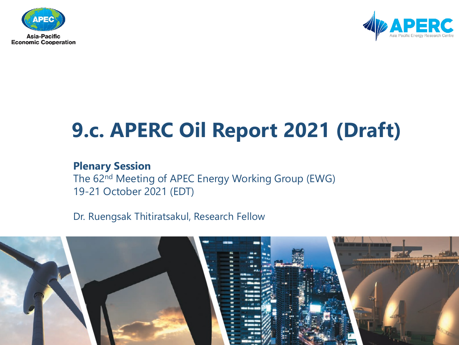



## **9.c. APERC Oil Report 2021 (Draft)**

#### **Plenary Session**

The 62nd Meeting of APEC Energy Working Group (EWG) 19-21 October 2021 (EDT)

Dr. Ruengsak Thitiratsakul, Research Fellow

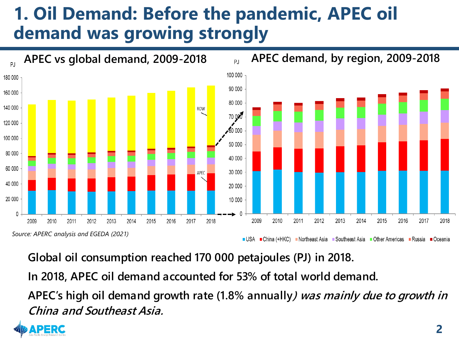### **1. Oil Demand: Before the pandemic, APEC oil demand was growing strongly**



**Global oil consumption reached 170 000 petajoules (PJ) in 2018. In 2018, APEC oil demand accounted for 53% of total world demand. APEC's high oil demand growth rate (1.8% annually) was mainly due to growth in China and Southeast Asia.** 

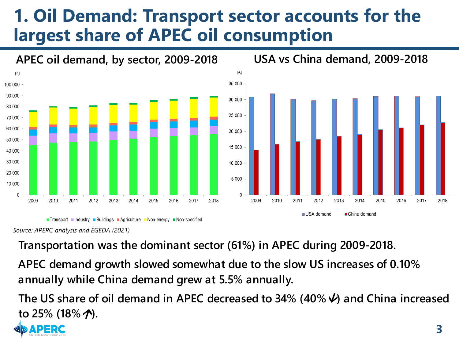#### **1. Oil Demand: Transport sector accounts for the largest share of APEC oil consumption**



*Source: APERC analysis and EGEDA (2021)*

**Transportation was the dominant sector (61%) in APEC during 2009-2018.** 

**APEC demand growth slowed somewhat due to the slow US increases of 0.10% annually while China demand grew at 5.5% annually.**

**The US share of oil demand in APEC decreased to 34% (40%) and China increased to 25% (18%).**

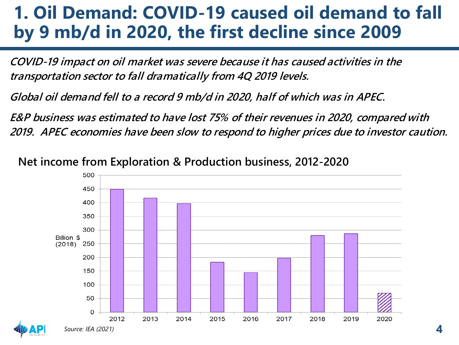#### **1. Oil Demand: COVID-19 caused oil demand to fall by 9 mb/d in 2020, the first decline since 2009**

**COVID-19 impact on oil market was severe because it has caused activities in the transportation sector to fall dramatically from 4Q 2019 levels.**

**Global oil demand fell to a record 9 mb/d in 2020, half of which was in APEC.**

**E&P business was estimated to have lost 75% of their revenues in 2020, compared with 2019. APEC economies have been slow to respond to higher prices due to investor caution.**

**Net income from Exploration & Production business, 2012-2020**



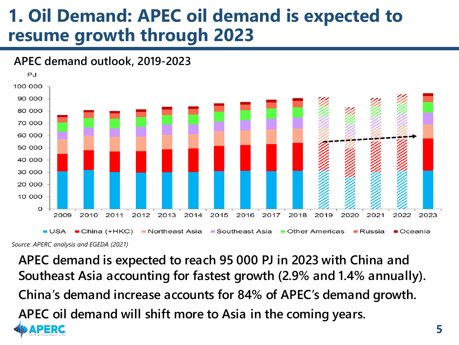#### **1. Oil Demand: APEC oil demand is expected to resume growth through 2023**





*Source: APERC analysis and EGEDA (2021)*

**APEC demand is expected to reach 95 000 PJ in 2023 with China and Southeast Asia accounting for fastest growth (2.9% and 1.4% annually). China's demand increase accounts for 84% of APEC's demand growth. APEC oil demand will shift more to Asia in the coming years.**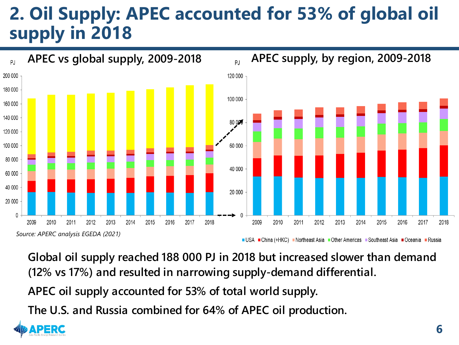### **2. Oil Supply: APEC accounted for 53% of global oil supply in 2018**



**Global oil supply reached 188 000 PJ in 2018 but increased slower than demand (12% vs 17%) and resulted in narrowing supply-demand differential.**

**APEC oil supply accounted for 53% of total world supply.**

**The U.S. and Russia combined for 64% of APEC oil production.**

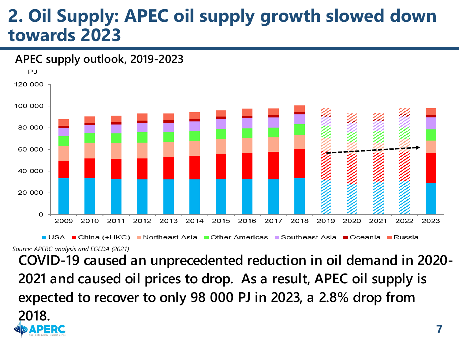#### **2. Oil Supply: APEC oil supply growth slowed down towards 2023**



*Source: APERC analysis and EGEDA (2021)*

**COVID-19 caused an unprecedented reduction in oil demand in 2020- 2021 and caused oil prices to drop. As a result, APEC oil supply is expected to recover to only 98 000 PJ in 2023, a 2.8% drop from 2018.**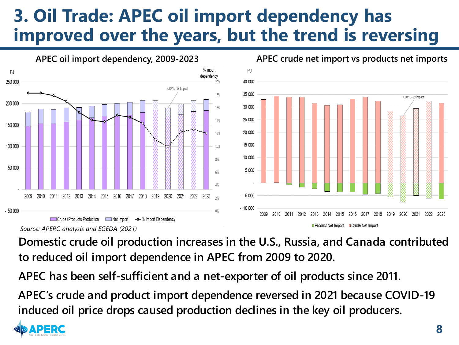#### **3. Oil Trade: APEC oil import dependency has improved over the years, but the trend is reversing**



**APEC crude net import vs products net imports**

**Domestic crude oil production increases in the U.S., Russia, and Canada contributed to reduced oil import dependence in APEC from 2009 to 2020.**

**APEC has been self-sufficient and a net-exporter of oil products since 2011.**

**APEC's crude and product import dependence reversed in 2021 because COVID-19 induced oil price drops caused production declines in the key oil producers.**

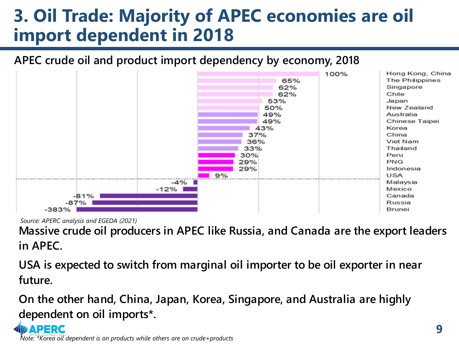## **3. Oil Trade: Majority of APEC economies are oil import dependent in 2018**

#### **APEC crude oil and product import dependency by economy, 2018**



*Source: APERC analysis and EGEDA (2021)*

**Massive crude oil producers in APEC like Russia, and Canada are the export leaders in APEC.**

**USA is expected to switch from marginal oil importer to be oil exporter in near future.**

**On the other hand, China, Japan, Korea, Singapore, and Australia are highly dependent on oil imports\*.**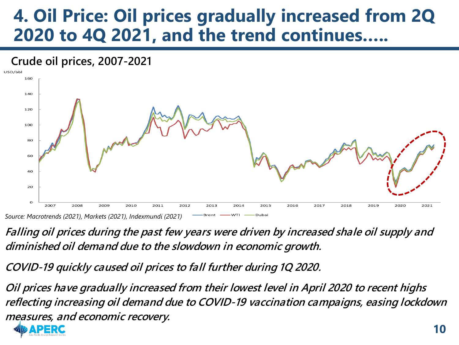#### **4. Oil Price: Oil prices gradually increased from 2Q 2020 to 4Q 2021, and the trend continues…..**



**Falling oil prices during the past few years were driven by increased shale oil supply and diminished oil demand due to the slowdown in economic growth.**

**COVID-19 quickly caused oil prices to fall further during 1Q 2020.**

**Oil prices have gradually increased from their lowest level in April 2020 to recent highs reflecting increasing oil demand due to COVID-19 vaccination campaigns, easing lockdown measures, and economic recovery.**

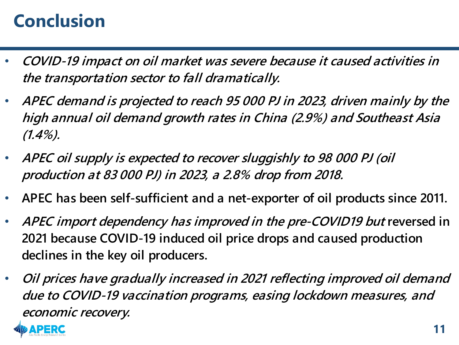## **Conclusion**

- **COVID-19 impact on oil market was severe because it caused activities in the transportation sector to fall dramatically.**
- **APEC demand is projected to reach 95 000 PJ in 2023, driven mainly by the high annual oil demand growth rates in China (2.9%) and Southeast Asia (1.4%).**
- **APEC oil supply is expected to recover sluggishly to 98 000 PJ (oil production at 83 000 PJ) in 2023, a 2.8% drop from 2018.**
- **APEC has been self-sufficient and a net-exporter of oil products since 2011.**
- **APEC import dependency has improved in the pre-COVID19 but reversed in 2021 because COVID-19 induced oil price drops and caused production declines in the key oil producers.**
- **Oil prices have gradually increased in 2021 reflecting improved oil demand due to COVID-19 vaccination programs, easing lockdown measures, and economic recovery.**